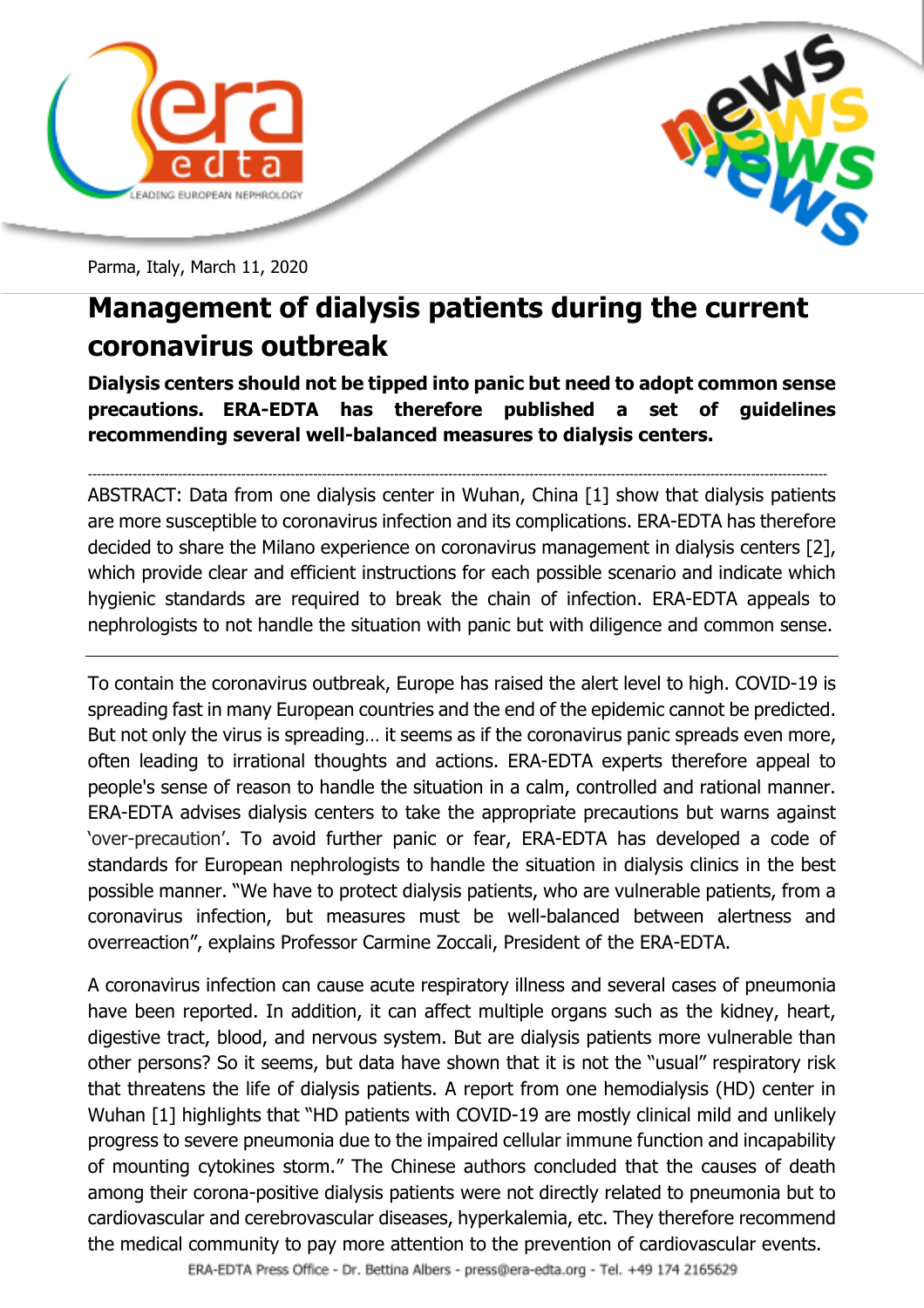



Parma, Italy, March 11, 2020

## **Management of dialysis patients during the current coronavirus outbreak**

**Dialysis centers should not be tipped into panic but need to adopt common sense precautions. ERA-EDTA has therefore published a set of guidelines recommending several well-balanced measures to dialysis centers.**

-------------------------------------------------------------------------------------------------------------------------------------------------------------------- ABSTRACT: Data from one dialysis center in Wuhan, China [1] show that dialysis patients are more susceptible to coronavirus infection and its complications. ERA-EDTA has therefore decided to share the Milano experience on coronavirus management in dialysis centers [2], which provide clear and efficient instructions for each possible scenario and indicate which hygienic standards are required to break the chain of infection. ERA-EDTA appeals to nephrologists to not handle the situation with panic but with diligence and common sense.

To contain the coronavirus outbreak, Europe has raised the alert level to high. COVID-19 is spreading fast in many European countries and the end of the epidemic cannot be predicted. But not only the virus is spreading… it seems as if the coronavirus panic spreads even more, often leading to irrational thoughts and actions. ERA-EDTA experts therefore appeal to people's sense of reason to handle the situation in a calm, controlled and rational manner. ERA-EDTA advises dialysis centers to take the appropriate precautions but warns against 'over-precaution'. To avoid further panic or fear, ERA-EDTA has developed a code of standards for European nephrologists to handle the situation in dialysis clinics in the best possible manner. "We have to protect dialysis patients, who are vulnerable patients, from a coronavirus infection, but measures must be well-balanced between alertness and overreaction", explains Professor Carmine Zoccali, President of the ERA-EDTA.

A coronavirus infection can cause acute respiratory illness and several cases of pneumonia have been reported. In addition, it can affect multiple organs such as the kidney, heart, digestive tract, blood, and nervous system. But are dialysis patients more vulnerable than other persons? So it seems, but data have shown that it is not the "usual" respiratory risk that threatens the life of dialysis patients. A report from one hemodialysis (HD) center in Wuhan [1] highlights that "HD patients with COVID-19 are mostly clinical mild and unlikely progress to severe pneumonia due to the impaired cellular immune function and incapability of mounting cytokines storm." The Chinese authors concluded that the causes of death among their corona-positive dialysis patients were not directly related to pneumonia but to cardiovascular and cerebrovascular diseases, hyperkalemia, etc. They therefore recommend the medical community to pay more attention to the prevention of cardiovascular events.